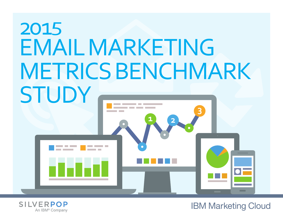# 2015 EMAIL MARKETING METRICS BENCHMARK **STUDY 1 2 3**



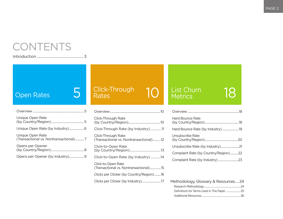### CONTENTS

Introduction [.....................................................3](#page-2-0)

### [Open Rates](#page-4-0) 5

| Unique Open Rate                                          |  |
|-----------------------------------------------------------|--|
|                                                           |  |
| Unique Open Rate<br>(Transactional vs. Nontransactional)7 |  |
| Opens per Opener                                          |  |
| Opens per Opener (by Industry)9                           |  |

# [Click-Through](#page-9-0)  Rates 10 [List Churn](#page-17-0)

| Overview                                                     |
|--------------------------------------------------------------|
| Click-Through Rate                                           |
| Click-Through Rate (by Industry)11                           |
| Click-Through Rate<br>(Transactional vs. Nontransactional)12 |
| Click-to-Open Rate                                           |
| Click-to-Open Rate (by Industry) 14                          |
| Click-to-Open Rate<br>(Transactional vs. Nontransactional)15 |
| Clicks per Clicker (by Country/Region)16                     |
| Clicks per Clicker (by Industry)17                           |
|                                                              |

### List Churn 18

#### [Overview..........................................................................18](#page-17-0) [Hard Bounce Rate](#page-17-0)  [\(by Country/Region\).................................................18](#page-17-0) [Hard Bounce Rate \(by Industry\)........................19](#page-18-0) [Unsubscribe Rate](#page-19-0)  [\(by Country/Region\)...............................................20](#page-19-0) [Unsubscribe Rate \(by Industry\)..........................21](#page-20-0) [Complaint Rate \(by Country/Region\)............22](#page-21-0) [Complaint Rate \(by Industry\)](#page-22-0) .............................23

| Methodology, Glossary & Resources24 |  |
|-------------------------------------|--|
|                                     |  |
|                                     |  |
|                                     |  |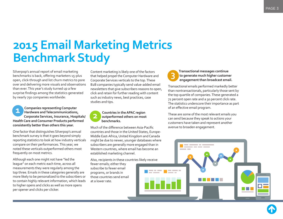### <span id="page-2-0"></span>**2015 Email Marketing Metrics Benchmark Study**

Silverpop's annual report of email marketing benchmarks is back, offering marketers 15-plus open, click-through and list churn metrics to pore over and delivering more visuals and observations than ever. This year's study turned up a few surprise findings among the statistics generated by nearly 750 companies worldwide:

**Companies representing Computer Hardware and Telecommunications, Corporate Services, Insurance, Hospitals/ Health Care and Consumer Products performed consistently better than others this year. 1**

One factor that distinguishes Silverpop's annual benchmark survey is that it goes beyond simply reporting statistics to look at how industry verticals compare on their performances. This year, we noted these verticals outperformed others most frequently on most metrics.

Although each one might not have "led the league" on each metric each time, across all measurements they were regularly among the top three. Emails in these categories generally are more likely to be personalized to the subscribers or to contain highly relevant information, which leads to higher opens and clicks as well as more opens per opener and clicks per clicker.

Content marketing is likely one of the factors that helped propel the Computer Hardware and Corporate Services verticals to the top. These B2B companies typically send value-added email newsletters that give subscribers reasons to open, click and retain for further reading with content such as industry news, best practices, case studies and tips.



#### **Countries in the APAC region outperformed others on most benchmarks.**

Much of the difference between Asia-Pacific countries and those in the United States, Europe-Middle East-Africa, United Kingdom and Canada might be due to newer, younger databases where subscribers are generally more engaged than in Western countries, where email has become an established marketing channel.

Also, recipients in these countries likely receive fewer emails; either they subscribe to fewer email programs, or brands in those countries send email at a lower rate.

#### **Transactional messages continue to generate much higher customer engagement than broadcast email.**

**3**

Transactional emails performed markedly better than nontransactionals, particularly those sent by the top quartile of companies. These generated a 72 percent open rate and a 30 percent click rate. The statistics underscore their importance as part of an efective email program.

These are some of the most relevant emails you can send because they speak to actions your customers have taken and represent another avenue to broaden engagement.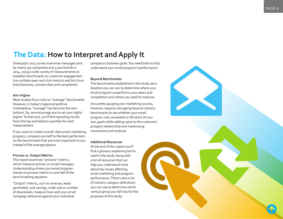### **The Data: How to Interpret and Apply It**

Silverpop's 2015 survey examines messages sent by nearly 750 companies and 3,000 brands in 2014, using a wide variety of measurements to establish benchmarks on customer engagement (via multiple open and click metrics) and list churn (hard bounces, unsubscribes and complaints).

#### **Aim Higher**

Most studies focus only on "average" benchmarks. However, in today's hypercompetitive marketplace, "average" has become the new bottom. So, we encourage you to set your sights higher. To that end, you'll find reporting results from the top and bottom quartiles for each measurement.

If you want to create a world-class email-marketing program, compare yourself to the best performers on the benchmarks that are most important to you instead of the average players.

#### **Process vs. Output Metrics**

This report examines "process" metrics, which measure activity on email messages. Understanding where your email program stands on process metrics is one half of the benchmarking equation.

"Output" metrics, such as revenue, leads generated, cost savings, order size or number of downloads, measure how well your email campaign delivered against your individual

company's business goals. You need both to fully understand your email program's performance.

#### **Beyond Benchmarks**

The benchmarks established in this study set a baseline you can use to determine where your email program outperforms your peers and competitors and where you need to improve.

Accurately gauging your marketing success, however, requires also going beyond industry benchmarks to see whether your email program met, exceeded or fell short of your own goals while adding value to the customer/ prospect relationship and maximizing conversions and revenue.

#### **Additional Resources**

At the end of this report you'll find a glossary explaining terms used in the study along with a list of resources that can help you understand more about key issues afecting email marketing and program performance. There's also a list of industry category definitions you can use to determine which vertical group you fall into for the purposes of this study.

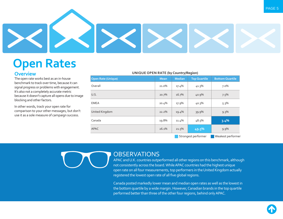<span id="page-4-0"></span>

### **Open Rates Overview**

The open rate works best as an in-house benchmark to track over time, because it can signal progress or problems with engagement. It's also not a completely accurate metric because it doesn't capture all opens due to image blocking and other factors.

In other words, track your open rate for comparison to your other messages, but don't use it as a sole measure of campaign success.

#### **UNIQUE OPEN RATE (by Country/Region)**

| <b>Open Rate (Unique)</b>                | <b>Mean</b> | <b>Median</b> | <b>Top Quartile</b> | <b>Bottom Quartile</b> |  |  |  |
|------------------------------------------|-------------|---------------|---------------------|------------------------|--|--|--|
| Overall                                  | 21.0%       | 17.4%         | 41.3%               | 7.0%                   |  |  |  |
| U.S.                                     | 20.7%       | 16.7%         | 40.9%               | 7.5%                   |  |  |  |
| <b>EMEA</b>                              | 20.4%       | 17.9%         | 40.3%               | 5.3%                   |  |  |  |
| United Kingdom                           | 22.2%       | 19.4%         | 39.9%               | $9.3\%$                |  |  |  |
| Canada                                   | 19.8%       | 11.4%         | 48.5%               | 3.4%                   |  |  |  |
| <b>APAC</b>                              | 26.1%       | 21.5%         | 49.5%               | $9.9\%$                |  |  |  |
| Weakest performer<br>Strongest performer |             |               |                     |                        |  |  |  |

#### **OBSERVATIONS**

APAC and U.K. countries outperformed all other regions on this benchmark, although not consistently across the board. While APAC countries had the highest unique open rate on all four measurements, top performers in the United Kingdom actually registered the lowest open rate of all five global regions.

Canada posted markedly lower mean and median open rates as well as the lowest in the bottom quartile by a wide margin. However, Canadian brands in the top quartile performed better than three of the other four regions, behind only APAC.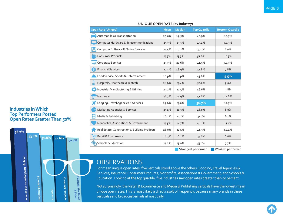<span id="page-5-0"></span>

| <b>Open Rate (Unique)</b>                     | <b>Mean</b> | <b>Median</b> | <b>Top Quartile</b> | <b>Bottom Quartile</b> |
|-----------------------------------------------|-------------|---------------|---------------------|------------------------|
| Automobiles & Transportation                  | 24.0%       | 19.5%         | 44.9%               | 10.3%                  |
| Computer Hardware & Telecommunications        | 25.7%       | 23.3%         | 45.2%               | 10.3%                  |
| Computer Software & Online Services           | 21.5%       | 19.2%         | 39.1%               | 8.0%                   |
| <b>CIDI</b><br><b>Consumer Products</b>       | 27.3%       | 23.3%         | 51.6%               | 10.3%                  |
| Corporate Services                            | 23.7%       | 20.6%         | 41.9%               | 10.7%                  |
| <b>Financial Services</b><br>$\boldsymbol{s}$ | 22.1%       | 18.9%         | 41.8%               | 7.8%                   |
| Food Service, Sports & Entertainment          | 20.9%       | 16.9%         | 43.6%               | 5.5%                   |
| $\delta$<br>Hospitals, Healthcare & Biotech   | 26.6%       | 23.4%         | 50.2%               | 9.0%                   |
| Industrial Manufacturing & Utilities          | 25.2%       | 21.5%         | 46.6%               | 9.8%                   |
| Insurance                                     | 28.7%       | 24.9%         | 51.8%               | 12.6%                  |
| Lodging, Travel Agencies & Services           | 29.6%       | 23.0%         | 56.7%               | 12.3%                  |
| <b>Marketing Agencies &amp; Services</b>      | 25.1%       | 21.3%         | 48.0%               | 8.0%                   |
| Media & Publishing                            | 16.1%       | 13.1%         | 31.3%               | 6.1%                   |
| Nonprofits, Associations & Government         | 27.5%       | 24.7%         | 48.1%               | 11.4%                  |
| Real Estate, Construction & Building Products | 26.0%       | 22.1%         | 44.3%               | 14.4%                  |
| Retail & Ecommerce                            | 18.3%       | 16.1%         | 33.8%               | 6.6%                   |
| Schools & Education                           |             | 23.0%         | 53.1%               | 7.7%                   |
|                                               |             |               | Strongest performer | Weakest performer      |

#### **UNIQUE OPEN RATE (by Industry)**

### **OBSERVATIONS**

For mean unique open rates, five verticals stood above the others: Lodging, Travel Agencies & Services; Insurance; Consumer Products; Nonprofits, Associations & Government; and Schools & Education. Looking at the top quartile, five industries saw open rates greater than 50 percent.

Not surprisingly, the Retail & Ecommerce and Media & Publishing verticals have the lowest mean unique open rates. This is most likely a direct result of frequency, because many brands in these verticals send broadcast emails almost daily.

#### **Industries in Which Top Performers Posted Open Rates Greater Than 50%**



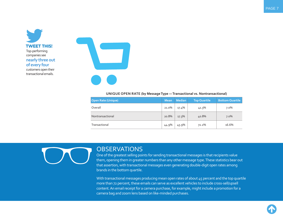<span id="page-6-0"></span>



#### **UNIQUE OPEN RATE (by Message Type — Transactional vs. Nontransactional)**

| <b>Open Rate (Unique)</b> | <b>Mean</b> | <b>Median</b> | <b>Top Quartile</b> | <b>Bottom Quartile</b> |
|---------------------------|-------------|---------------|---------------------|------------------------|
| Overall                   | 21.0%       | 17.4%         | 41.3%               | 7.0%                   |
| Nontransactional          | 20.8%       | 17.3%         | 40.8%               | 7.0%                   |
| Transactional             | 44.9%       | 45.9%         | 72.2%               | 16.6%                  |

#### **OBSERVATIONS**

One of the greatest selling points for sending transactional messages is that recipients value them, opening them in greater numbers than any other message type. These statistics bear out that assertion, with transactional messages even generating double-digit open rates among brands in the bottom quartile.

With transactional messages producing mean open rates of about 45 percent and the top quartile more than 72 percent, these emails can serve as excellent vehicles to include cross-sell/upsell content. An email receipt for a camera purchase, for example, might include a promotion for a camera bag and zoom lens based on like-minded purchases.

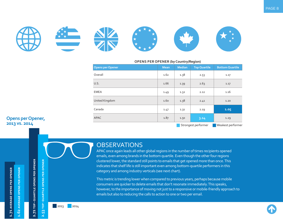<span id="page-7-0"></span>

#### **OPENS PER OPENER (by Country/Region)**

| <b>Opens per Opener</b> | <b>Mean</b> | <b>Median</b>       | <b>Top Quartile</b> | <b>Bottom Quartile</b> |
|-------------------------|-------------|---------------------|---------------------|------------------------|
| Overall                 | 1.62        | 1.38                | 2.53                | 1.17                   |
| U.S.                    | 1.66        | 1.39                | 2.63                | 1.17                   |
| <b>EMEA</b>             | 1.49        | 1.32                | 2.12                | 1.16                   |
| United Kingdom          | 1.60        | 1.38                | 2.41                | 1.20                   |
| Canada                  | 1.47        | 1.31                | 2.19                | 1.05                   |
| APAC                    | 1.87        | 1.50                | 3.14                | 1.29                   |
|                         |             | Strongest performer | Weakest performer   |                        |

#### **OBSERVATIONS**

APAC once again leads all other global regions in the number of times recipients opened emails, even among brands in the bottom quartile. Even though the other four regions clustered lower, the standard still points to emails that get opened more than once. This indicates that shelf life is still important even among bottom-quartile performers in this category and among industry verticals (see next chart).

This metric is trending lower when compared to previous years, perhaps because mobile consumers are quicker to delete emails that don't resonate immediately. This speaks, however, to the importance of moving not just to a responsive or mobile-friendly approach to emails but also to reducing the calls to action to one or two per email.

#### **Opens per Opener, 2013 vs. 2014**

1.71 AVERAGE OPENS PER OPENER AVERAGE OPENS PER OPENER  $\mathbf{S}^2$ 

H



2.53 TOP-QUARTILE OPENS PER OPENER



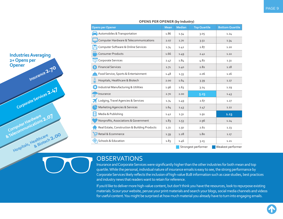| <b>Opens per Opener</b>                       | <b>Mean</b> | <b>Median</b> | <b>Top Quartile</b> | <b>Bottom Quartile</b> |
|-----------------------------------------------|-------------|---------------|---------------------|------------------------|
| Automobiles & Transportation                  | 1.86        | 1.54          | 3.05                | 1.24                   |
| Computer Hardware & Telecommunications        | 2.07        | 1.70          | 3.51                | 1.34                   |
| Computer Software & Online Services           | 1.74        | 1.42          | 2.87                | 1.20                   |
| <b>CIDI</b><br><b>Consumer Products</b>       | 1.66        | 1.49          | 2.41                | 1.22                   |
| Corporate Services                            | 2.47        | 1.84          | 4.82                | 1.31                   |
| <b>Financial Services</b><br>$\boldsymbol{s}$ | 1.71        | 1.40          | 2.82                | 1.18                   |
| Food Service, Sports & Entertainment          | 1.48        | 1.33          | 2.06                | 1.16                   |
| 8<br>Hospitals, Healthcare & Biotech          | 2.00        | 1.64          | 3.39                | 1.27                   |
| Industrial Manufacturing & Utilities          | 1.96        | 1.63          | 3.24                | 1.29                   |
| Insurance                                     | 2.70        | 2.00          | 5.23                | 1.43                   |
| Lodging, Travel Agencies & Services           | 1.74        | 1.49          | 2.67                | 1.27                   |
| <b>Marketing Agencies &amp; Services</b>      | 1.64        | 1.43          | 2.47                | 1.22                   |
| Media & Publishing                            | 1.42        | 1.31          | 1.91                | 1.13                   |
| Nonprofits, Associations & Government         | 1.83        | 1.53          | 2.96                | 1.24                   |
| Real Estate, Construction & Building Products | 1.72        | 1.50          | 2.61                | 1.23                   |
| Retail & Ecommerce                            | 1.39        | 1.28          | 1.80                | 1.17                   |
| Schools & Education                           | 1.83        | 1.46          | 3.15                | 1.21                   |
|                                               |             |               | Strongest performer | Weakest performer      |

#### **OPENS PER OPENER (by Industry)**

#### **OBSERVATIONS**

<span id="page-8-0"></span>**Industries Averaging**

**Insurance 2.70**

**Corporate Services 2.47**

**Computer Hardware & Telecommunications 2.07**

**Hospitals, Healthcare & Biotech 2.00**

**2+ Opens per**

**Opener**

Insurance and Corporate Services were significantly higher than the other industries for both mean and top quartile. While the personal, individual nature of insurance emails is easy to see, the strong performance by Corporate Services likely reflects the inclusion of high-value B2B information such as case studies, best practices and industry news that readers want to retain for reference.

If you'd like to deliver more high-value content, but don't think you have the resources, look to repurpose existing materials. Scour your website, peruse your print materials and search your blogs, social media channels and videos for useful content. You might be surprised at how much material you already have to turn into engaging emails.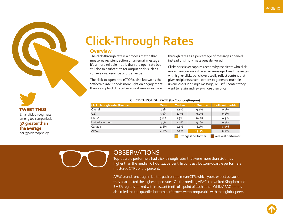<span id="page-9-0"></span>

## **Click-Through Rates**

#### **Overview**

The click-through rate is a process metric that measures recipient action on an email message. It's a more reliable metric than the open rate but still doesn't substitute for output goals such as conversions, revenue or order value.

The click-to-open rate (CTOR), also known as the "effective rate," sheds more light on engagement than a simple click rate because it measures click-

through rates as a percentage of messages opened instead of simply messages delivered.

Clicks per clicker captures actions by recipients who click more than one link in the email message. Email messages with higher clicks per clicker usually reflect content that gives recipients several options to generate multiple unique clicks in a single message, or useful content they want to retain and review more than once.

| <b>CLICK-THROUGH RATE (by Country/Region)</b> |  |
|-----------------------------------------------|--|
|                                               |  |

| <b>Click-Through Rate (Unique)</b> | <b>Mean</b> | <b>Median</b> | <b>Top Quartile</b> | <b>Bottom Quartile</b> |
|------------------------------------|-------------|---------------|---------------------|------------------------|
| Overall                            | $3.2\%$     | 1.4%          | $9.4\%$             | 0.2%                   |
| U.S.                               | $3.0\%$     | $1.3\%$       | $9.0\%$             | 0.2%                   |
| <b>EMEA</b>                        | $3.8\%$     | $1.9\%$       | 10.7%               | $0.3\%$                |
| United Kingdom                     | $3.5\%$     | $2.0\%$       | $9.2\%$             | 0.3%                   |
| Canada                             | 2.6%        | 0.6%          | 8.7%                | 0.0%                   |
| <b>APAC</b>                        | 4.6%        | $2.0\%$       | $13.2\%$            | 0.4%                   |

Strongest performer Weakest performer

### **OBSERVATIONS**

Top-quartile performers had click-through rates that were more than six times higher than the median CTR of 1.4 percent. In contrast, bottom-quartile performers mustered CTRs of 0.2 percent.

APAC brands once again led the pack on the mean CTR, which you'd expect because they also posted the highest open rates. On the median, APAC, the United Kingdom and EMEA regions ranked within a scant tenth of a point of each other. While APAC brands also ruled the top quartile, bottom performers were comparable with their global peers.

**TWEET THIS!** Email click-through rate among top companies is **3X greater than** 

**the average** per @Silverpop study.

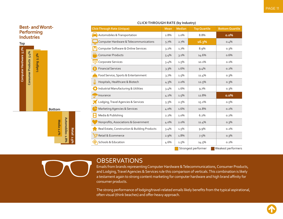<span id="page-10-0"></span>

|                                        |                        | <b>Best- and Worst-</b>  |                                               |                              |         | Click-Through Rate (Unique)              | <b>Mean</b> | <b>Median</b> | <b>Top Quartile</b> | <b>Bottom Quartile</b> |
|----------------------------------------|------------------------|--------------------------|-----------------------------------------------|------------------------------|---------|------------------------------------------|-------------|---------------|---------------------|------------------------|
| <b>Performing</b><br><b>Industries</b> |                        |                          |                                               | Automobiles & Transportation | 2.8%    | 1.0%                                     | 8.8%        | 0.0%          |                     |                        |
|                                        | Top                    |                          |                                               |                              |         | Computer Hardware & Telecommunications   | 5.7%        | 2.7%          | 16.3%               | 0.4%                   |
|                                        |                        |                          |                                               |                              |         | Computer Software & Online Services      | $3.2\%$     | $1.7\%$       | 8.9%                | 0.3%                   |
|                                        |                        | 5.4%                     | 5.3%                                          |                              |         | <b>Consumer Products</b>                 | 5.4%        | 3.1%          | 14.6%               | 0.6%                   |
|                                        |                        |                          |                                               | Lodging                      |         | Corporate Services                       | 3.4%        | 1.5%          | 10.1%               | 0.1%                   |
|                                        |                        | <b>Consumer Products</b> |                                               |                              |         | <b>Financial Services</b>                | 3.3%        | 1.6%          | 9.4%                | 0.2%                   |
|                                        | Computer Hardware 5.7% |                          |                                               |                              |         | Food Service, Sports & Entertainment     | 3.7%        | 1.5%          | 11.4%               | $0.3\%$                |
|                                        |                        |                          |                                               |                              |         | Hospitals, Healthcare & Biotech          | 4.3%        | 2.0%          | 12.5%               | 0.3%                   |
|                                        |                        |                          |                                               |                              |         | Industrial Manufacturing & Utilities     | 3.4%        | 1.6%          | 9.7%                | $0.3\%$                |
|                                        |                        |                          |                                               |                              |         | J <sup>-</sup> Insurance                 | $4.2\%$     | $1.5\%$       | 12.8%               | 0.0%                   |
|                                        |                        |                          |                                               |                              |         | Lodging, Travel Agencies & Services      | 5.3%        | 2.5%          | 15.2%               | $0.5\%$                |
|                                        |                        |                          |                                               | <b>Bottom</b>                |         | <b>Marketing Agencies &amp; Services</b> | $4.0\%$     | 1.6%          | 11.8%               | 0.2%                   |
|                                        |                        |                          |                                               |                              |         | Media & Publishing                       | 2.2%        | 1.0%          | 6.2%                | 0.2%                   |
| Automobiles 2.8%<br>Media 2.2%         |                        |                          | Nonprofits, Associations & Government         | $4.0\%$                      | 2.0%    | 11.4%                                    | 0.3%        |               |                     |                        |
|                                        |                        | <b>Retail</b>            | Real Estate, Construction & Building Products | 3.4%                         | $1.5\%$ | 9.9%                                     | 0.2%        |               |                     |                        |
|                                        |                        |                          |                                               |                              |         | Retail & Ecommerce                       | 2.9%        | 1.8%          | 7.5%                | 0.3%                   |
|                                        |                        |                          |                                               |                              | 8%      | Schools & Education                      | 4.6%        | 1.5%          | 14.5%               | 0.2%                   |
|                                        |                        |                          |                                               |                              |         |                                          |             |               | Strongest performer | Weakest performers     |

#### **CLICK-THROUGH RATE (by Industry)**

#### **OBSERVATIONS**

Emails from brands representing Computer Hardware & Telecommunications, Consumer Products, and Lodging, Travel Agencies & Services rule this comparison of verticals. This combination is likely a testament again to strong content marketing for computer hardware and high brand affinity for consumer products.

The strong performance of lodging/travel-related emails likely benefits from the typical aspirational, often visual (think beaches) and offer-heavy approach.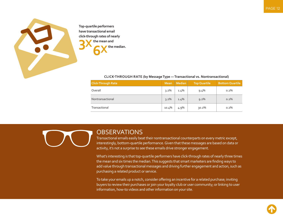<span id="page-11-0"></span>

**Top-quartile performers have transactional email click-through rates of nearly the mean and <b>3 6X the median. the mean and**

#### **CLICK-THROUGH RATE (by Message Type — Transactional vs. Nontransactional)**

| <b>Click-Through Rate</b> | <b>Mean</b> | <b>Median</b> | <b>Top Quartile</b> | <b>Bottom Quartile</b> |
|---------------------------|-------------|---------------|---------------------|------------------------|
| Overall                   | $3.2\%$     | 1.4%          | $9.4\%$             | $0.2\%$                |
| Nontransactional          | $3.2\%$     | 1.4%          | $9.2\%$             | $0.2\%$                |
| Transactional             | 10.4%       | 4.9%          | $30.2\%$            | $0.2\%$                |

#### **OBSERVATIONS**

Transactional emails easily beat their nontransactional counterparts on every metric except, interestingly, bottom-quartile performance. Given that these messages are based on data or activity, it's not a surprise to see these emails drive stronger engagement.

What's interesting is that top-quartile performers have click-through rates of nearly three times the mean and six times the median. This suggests that smart marketers are finding ways to add value through transactional messages and driving further engagement and action, such as purchasing a related product or service.

To take your emails up a notch, consider ofering an incentive for a related purchase; inviting buyers to review their purchases or join your loyalty club or user community; or linking to user information, how-to videos and other information on your site.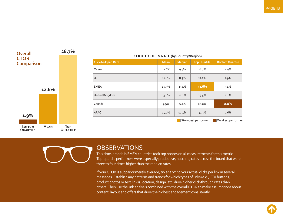<span id="page-12-0"></span>

#### **CLICK-TO-OPEN RATE (by Country/Region)**

| <b>Click-to-Open Rate</b> | <b>Mean</b> | Median  | <b>Top Quartile</b> | <b>Bottom Quartile</b> |
|---------------------------|-------------|---------|---------------------|------------------------|
| Overall                   | 12.6%       | $9.4\%$ | 28.7%               | 1.9%                   |
| U.S.                      | 11.8%       | 8.5%    | 27.2%               | 1.9%                   |
| <b>EMEA</b>               | 15.9%       | 13.1%   | 33.6%               | 3.1%                   |
| United Kingdom            | 13.6%       | 11.2%   | 29.5%               | 2.1%                   |
| Canada                    | $9.9\%$     | 6.7%    | 26.0%               | 0.0%                   |
| <b>APAC</b>               | 14.2%       | 10.4%   | 32.3%               | 2.6%                   |
|                           |             |         | Strongest performer | Weakest performer      |
|                           |             |         |                     |                        |



#### **OBSERVATIONS**

This time, brands in EMEA countries took top honors on all measurements for this metric. Top-quartile performers were especially productive, notching rates across the board that were three to four times higher than the median rates.

If your CTOR is subpar or merely average, try analyzing your actual clicks per link in several messages. Establish any patterns and trends for which types of links (e.g., CTA buttons, product photos or text links), location, design, etc. drive higher click-through rates than others. Then use the link analysis combined with the overall CTOR to make assumptions about content, layout and offers that drive the highest engagement consistently.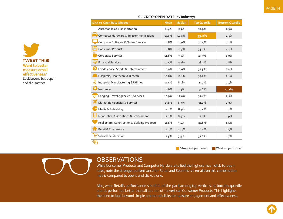| <b>Click-to-Open Rate (Unique)</b>            | <b>Mean</b> | <b>Median</b> | <b>Top Quartile</b> | <b>Bottom Quartile</b> |
|-----------------------------------------------|-------------|---------------|---------------------|------------------------|
| Automobiles & Transportation                  | 8.4%        | 5.3%          | 21.9%               | 0.3%                   |
| Computer Hardware & Telecommunications        | 17.0%       | 12.8%         | 39.2%               | 2.5%                   |
| Computer Software & Online Services           | 12.8%       | 10.0%         | 28.5%               | 2.1%                   |
| <b>Consumer Products</b>                      | 16.8%       | 14.5%         | 33.8%               | 4.2%                   |
| ŒЛ<br>Corporate Services                      | 11.8%       | 7.5%          | 29.7%               | 1.0%                   |
| <b>Financial Services</b>                     | 12.5%       | 9.2%          | 28.7%               | 1.8%                   |
| `\$<br>Food Service, Sports & Entertainment   | 14.0%       | 10.0%         | 32.5%               | 2.6%                   |
| Hospitals, Healthcare & Biotech               | 14.8%       | 10.1%         | 35.2%               | 2.1%                   |
| Industrial Manufacturing & Utilities          | 11.5%       | 8.5%          | 25.7%               | 2.4%                   |
| Insurance                                     | 12.6%       | 7.3%          | 33.6%               | 0.2%                   |
| Lodging, Travel Agencies & Services           | 14.9%       | 12.0%         | 31.6%               | 2.9%                   |
| <b>Marketing Agencies &amp; Services</b>      | 13.1%       | 8.9%          | 31.2%               | 2.0%                   |
| Media & Publishing                            | 11.2%       | 8.3%          | 25.4%               | 1.7%                   |
| Nonprofits, Associations & Government         | 12.2%       | 8.9%          | 27.8%               | 1.9%                   |
| Real Estate, Construction & Building Products | 11.1%       | 7.4%          | 27.8%               | 1.1%                   |
| Retail & Ecommerce                            | 14.3%       | 12.3%         | 28.4%               | 3.5%                   |
| <b>Schools &amp; Education</b>                | 12.5%       | 7.9%          | 31.6%               | 1.7%                   |

#### **CLICK-TO-OPEN RATE (by Industry)**

Strongest performer Weakest performer

<span id="page-13-0"></span>**TWEET THIS! Want to better measure email efectiveness?** Look beyond basic open and click metrics.

#### **OBSERVATIONS**

While Consumer Products and Computer Hardware tallied the highest mean click-to-open rates, note the stronger performance for Retail and Ecommerce emails on this combination metric compared to opens and clicks alone.

Also, while Retail's performance is middle-of-the-pack among top verticals, its bottom-quartile brands performed better than all but one other vertical: Consumer Products. This highlights the need to look beyond simple opens and clicks to measure engagement and effectiveness.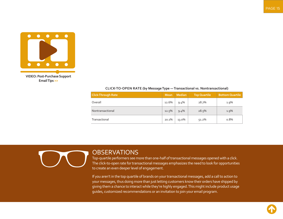<span id="page-14-0"></span>

#### **CLICK-TO-OPEN RATE (by Message Type — Transactional vs. Nontransactional)**

| <b>Click-Through Rate</b> | <b>Mean</b> | <b>Median</b> | <b>Top Quartile</b> | <b>Bottom Quartile</b> |
|---------------------------|-------------|---------------|---------------------|------------------------|
| Overall                   | 12.6%       | 9.4%          | 28.7%               | $1.9\%$                |
| Nontransactional          | 12.5%       | 9.4%          | 28.5%               | $1.9\%$                |
| Transactional             | 20.1%       | 13.0%         | 51.2%               | 0.8%                   |

### **OBSERVATIONS**

Top-quartile performers see more than one-half of transactional messages opened with a click. The click-to-open rate for transactional messages emphasizes the need to look for opportunities to create an even deeper level of engagement.

If you aren't in the top quartile of brands on your transactional messages, add a call to action to your messages, thus doing more than just letting customers know their orders have shipped by giving them a chance to interact while they're highly engaged. This might include product usage guides, customized recommendations or an invitation to join your email program.

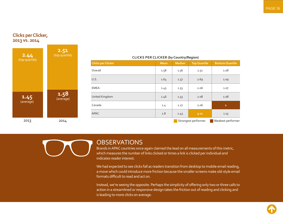#### <span id="page-15-0"></span>**Clicks per Clicker, 2013 vs. 2014**



### **Clicks per Clicker Mean Mean Mean Median Top Quartile Bottom Quartile** Overall 1.58 1.36 2.51 1.08 U.S. 1.64 1.37 2.69 1.09 EMEA 1.45 1.45 1.33 2.06 1.07 United Kingdom 1.46 1.33 2.08 1.08 Canada 1.4 1.27 2.06 **1** APAC 1.13 **1.13** 1.45 **3.11** 1.13 2013 2014 2014 2014 2015 2014 2014 2015 2017 2017 2018 2017 2017 2018 2019 2017 2017 2018 2019 2017 2017 2018

#### **CLICKS PER CLICKER (by Country/Region)**

#### **OBSERVATIONS**

Brands in APAC countries once again claimed the lead on all measurements of this metric, which measures the number of links clicked or times a link is clicked per individual and indicates reader interest.

We had expected to see clicks fall as readers transition from desktop to mobile email reading, a move which could introduce more friction because the smaller screens make old-style email formats difficult to read and act on.

Instead, we're seeing the opposite. Perhaps the simplicity of offering only two or three calls to action in a streamlined or responsive design takes the friction out of reading and clicking and is leading to more clicks on average.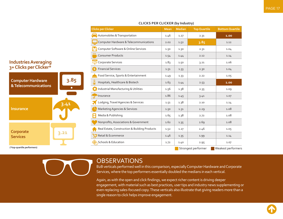| <b>Clicks per Clicker</b>                     | <b>Mean</b> | <b>Median</b> | <b>Top Quartile</b> | <b>Bottom Quartile</b> |
|-----------------------------------------------|-------------|---------------|---------------------|------------------------|
| Automobiles & Transportation                  | 1.46        | 1.27          | 2.31                | 1.00                   |
| Computer Hardware & Telecommunications        | 2.02        | 1.52          | 3.85                | 1.12                   |
| Computer Software & Online Services           | 1.50        | 1.30          | 2.31                | 1.04                   |
| (1)1<br><b>Consumer Products</b>              | 1.54        | 1.44          | 2.12                | 1.14                   |
| Corporate Services                            | 1.83        | 1.50          | 3.21                | 1.06                   |
| <b>Financial Services</b>                     | 1.51        | 1.33          | 2.30                | 1.04                   |
| Food Service, Sports & Entertainment          | 1.49        | 1.33          | 2.22                | 1.05                   |
| Hospitals, Healthcare & Biotech               | 1.63        | 1.44          | 2.53                | 1.00                   |
| Industrial Manufacturing & Utilities          | 1.56        | 1.38          | 2.35                | 1.09                   |
| Insurance                                     | 1.86        | 1.45          | 3.41                | 1.07                   |
| Lodging, Travel Agencies & Services           | 1.51        | 1.38          | 2.10                | 1.14                   |
| <b>Marketing Agencies &amp; Services</b>      | 1.50        | 1.31          | 2.29                | 1.08                   |
| Media & Publishing                            | 1.65        | 1.38          | 2.72                | 1.08                   |
| Nonprofits, Associations & Government         | 1.62        | 1.35          | 2.69                | 1.08                   |
| Real Estate, Construction & Building Products | 1.52        | 1.27          | 2.46                | 1.05                   |
| Retail & Ecommerce<br>$\bullet$               | 1.46        | 1.35          | 1.99                | 1.14                   |
| <b>Schools &amp; Education</b>                | 1.72        | 1.40          | 2.95                | 1.07                   |
|                                               |             |               | Strongest performer | Weakest performers     |

#### **CLICKS PER CLICKER (by Industry)**

#### <span id="page-16-0"></span>**Industries Averaging 3+ Clicks per Clicker\***

**3.85 3.41 3.21 Computer Hardware & Telecommunications Insurance Corporate Services**

**(\*top-quartile performers)**

**OBSERVATIONS** 

B2B verticals performed well in this comparison, especially Computer Hardware and Corporate Services, where the top performers essentially doubled the medians in each vertical.

Again, as with the open and click findings, we expect richer content is driving deeper engagement, with material such as best practices, user tips and industry news supplementing or even replacing sales-focused copy. These verticals also illustrate that giving readers more than a single reason to click helps improve engagement.

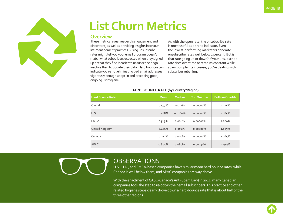<span id="page-17-0"></span>

# **List Churn Metrics**

#### **Overview**

These metrics reveal reader disengagement and discontent, as well as providing insights into your list-management practices. Rising unsubscribe rates might tell you your email program doesn't match what subscribers expected when they signed up or that they find it easier to unsubscribe or go inactive than to update their data. Hard bounces can indicate you're not eliminating bad email addresses vigorously enough at opt-in and practicing good, ongoing list hygiene.

As with the open rate, the unsubscribe rate is most useful as a trend indicator. Even the lowest-performing marketers generate unsubscribe rates well below 1 percent. But is that rate going up or down? If your unsubscribe rate rises over time or remains constant while spam complaints increase, you're dealing with subscriber rebellion.

| <b>Hard Bounce Rate</b> | <b>Mean</b> | <b>Median</b> | <b>Top Quartile</b> | <b>Bottom Quartile</b> |
|-------------------------|-------------|---------------|---------------------|------------------------|
| Overall                 | 0.547%      | 0.021%        | $0.00000\%$         | 2.114%                 |
| U.S.                    | 0.568%      | 0.0260%       | 0.00000%            | 2.185%                 |
| <b>EMEA</b>             | 0.563%      | 0.008%        | 0.00000%            | 2.200%                 |
| United Kingdom          | 0.481%      | 0.016%        | 0.00000%            | 1.865%                 |
| Canada                  | 0.272%      | $0.000\%$     | 0.00000%            | 1.085%                 |
| <b>APAC</b>             | 0.804%      | 0.080%        | 0.00234%            | 2.979%                 |

#### **HARD BOUNCE RATE (by Country/Region)**



#### **OBSERVATIONS**

U.S., U.K., and EMEA-based companies have similar mean hard bounce rates, while Canada is well below them, and APAC companies are way above.

With the enactment of CASL (Canada's Anti-Spam Law) in 2014, many Canadian companies took the step to re-opt-in their email subscribers. This practice and other related hygiene steps clearly drove down a hard-bounce rate that is about half of the three other regions.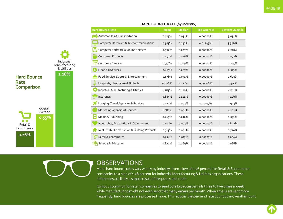<span id="page-18-0"></span>

|                    |                                 | <b>Hard Bounce Rate</b>                       | <b>Mean</b> | <b>Median</b> | <b>Top Quartile</b> | <b>Bottom Quartile</b> |
|--------------------|---------------------------------|-----------------------------------------------|-------------|---------------|---------------------|------------------------|
|                    |                                 | Automobiles & Transportation                  | 0.815%      | 0.051%        | 0.00000%            | 3.051%                 |
|                    |                                 | Computer Hardware & Telecommunications        | 0.975%      | 0.232%        | 0.01249%            | 3.346%                 |
|                    |                                 | Computer Software & Online Services           | 0.592%      | 0.047%        | 0.00000%            | 2.218%                 |
|                    |                                 | <b>CDI</b><br><b>Consumer Products</b>        | 0.541%      | 0.026%        | $0.00000\%$         | 2.072%                 |
|                    | Industrial<br>Manufacturing     | Corporate Services                            | 0.756%      | 0.109%        | 0.00000%            | 2.725%                 |
|                    | & Utilities                     | <b>Financial Services</b>                     | 0.615%      | 0.007%        | 0.00000%            | 2.373%                 |
| <b>Hard Bounce</b> | 1.28%                           | Food Service, Sports & Entertainment          | 0.678%      | $0.034\%$     | 0.00000%            | 2.600%                 |
| Rate               | Hospitals, Healthcare & Biotech | 0.926%                                        | 0.111%      | 0.00006%      | 3.375%              |                        |
| <b>Comparison</b>  |                                 | Industrial Manufacturing & Utilities          | 1.285%      | 0.120%        | 0.00000%            | 4.811%                 |
|                    |                                 | Insurance                                     | 0.885%      | 0.121%        | 0.00000%            | 3.200%                 |
|                    |                                 | Lodging, Travel Agencies & Services           | 0.522%      | 0.043%        | 0.00037%            | 1.953%                 |
| Overall<br>Average |                                 | <b>Marketing Agencies &amp; Services</b>      | 1.086%      | 0.041%        | 0.00000%            | 4.201%                 |
| 0.55%              |                                 | Media & Publishing                            | 0.265%      | $0.010\%$     | 0.00000%            | 1.031%                 |
| Retail &           |                                 | Nonprofits, Associations & Government         | 0.503%      | 0.043%        | 0.00000%            | 1.892%                 |
| Ecommerce          |                                 | Real Estate, Construction & Building Products | 0.723%      | 0.041%        | 0.00000%            | 2.720%                 |
| 0.26%              |                                 | Retail & Ecommerce                            | 0.256%      | 0.013%        | 0.00001%            | $1.004\%$              |
|                    |                                 | <b>Schools &amp; Education</b>                | 0.820%      | 0.069%        | 0.00000%            | 3.086%                 |

#### **HARD BOUNCE RATE (by Industry)**

**OBSERVATIONS** 

Mean hard bounce rates vary widely by industry, from a low of 0.26 percent for Retail & Ecommerce companies to a high of 1.28 percent for Industrial Manufacturing & Utilities organizations. These diferences are likely a simple result of frequency and math.

It's not uncommon for retail companies to send core broadcast emails three to five times a week, while manufacturing might not even send that many emails per month. When emails are sent more frequently, hard bounces are processed more. This reduces the per-send rate but not the overall amount.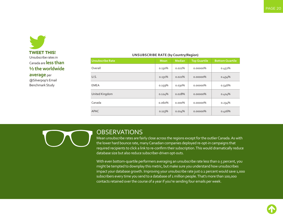<span id="page-19-0"></span>

**average** per

@Silverpop's Email Benchmark Study

#### **UNSUBSCRIBE RATE (by Country/Region)**

| <b>Unsubscribe Rate</b> | <b>Mean</b> | <b>Median</b> | <b>Top Quartile</b> | <b>Bottom Quartile</b> |
|-------------------------|-------------|---------------|---------------------|------------------------|
| Overall                 | 0.130%      | 0.021%        | 0.00000%            | 0.452%                 |
| U.S.                    | 0.131%      | 0.021%        | $0.00000\%$         | 0.454%                 |
| <b>EMEA</b>             | 0.159%      | $0.030\%$     | 0.00000%            | 0.546%                 |
| United Kingdom          | 0.124%      | 0.028%        | $0.00000\%$         | 0.414%                 |
| Canada                  | 0.060%      | $0.000\%$     | $0.00000\%$         | 0.234%                 |
| <b>APAC</b>             | 0.113%      | 0.014%        | 0.00000%            | 0.416%                 |

#### **OBSERVATIONS**

Mean unsubscribe rates are fairly close across the regions except for the outlier Canada. As with the lower hard bounce rate, many Canadian companies deployed re-opt-in campaigns that required recipients to click a link to re-confirm their subscription. This would dramatically reduce database size but also reduce subscriber-driven opt-outs.

With even bottom-quartile performers averaging an unsubscribe rate less than 0.5 percent, you might be tempted to downplay this metric, but make sure you understand how unsubscribes impact your database growth. Improving your unsubscribe rate just 0.1 percent would save 1,000 subscribers every time you send to a database of 1 million people. That's more than 100,000 contacts retained over the course of a year if you're sending four emails per week.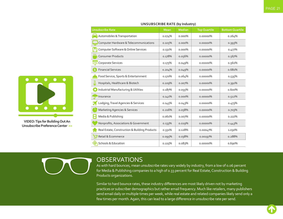| <b>Unsubscribe Rate</b>                       | <b>Mean</b> | <b>Median</b> | <b>Top Quartile</b> | <b>Bottom Quartile</b> |
|-----------------------------------------------|-------------|---------------|---------------------|------------------------|
| Automobiles & Transportation                  | 0.074%      | $0.000\%$     | 0.00000%            | 0.264%                 |
| Computer Hardware & Telecommunications        | 0.105%      | $0.000\%$     | 0.00000%            | 0.393%                 |
| Computer Software & Online Services           | 0.131%      | $0.000\%$     | 0.00000%            | 0.477%                 |
| ŒО<br><b>Consumer Products</b>                | 0.178%      | 0.056%        | 0.00000%            | 0.567%                 |
| Corporate Services                            | 0.175%      | 0.049%        | 0.00000%            | 0.561%                 |
| <b>Financial Services</b>                     | 0.204%      | 0.049%        | 0.00000%            | 0.681%                 |
| Food Service, Sports & Entertainment          | 0.170%      | 0.064%        | 0.00000%            | 0.535%                 |
| Hospitals, Healthcare & Biotech               | 0.109%      | 0.007%        | 0.00000%            | 0.391%                 |
| Industrial Manufacturing & Utilities          | 0.187%      | 0.055%        | 0.00000%            | 0.600%                 |
| Insurance                                     | 0.141%      | $0.000\%$     | 0.00000%            | 0.512%                 |
| Lodging, Travel Agencies & Services           | 0.145%      | 0.043%        | 0.00000%            | 0.473%                 |
| <b>Marketing Agencies &amp; Services</b>      | 0.216%      | 0.058%        | 0.00000%            | 0.703%                 |
| Media & Publishing                            | 0.061%      | 0.007%        | 0.00000%            | 0.222%                 |
| Nonprofits, Associations & Government         | 0.133%      | 0.029%        | 0.00000%            | 0.443%                 |
| Real Estate, Construction & Building Products | 0.331%      | 0.128%        | 0.00047%            | 1.030%                 |
| Retail & Ecommerce                            | 0.095%      | 0.038%        | 0.00197%            | 0.288%                 |
| <b>Schools &amp; Education</b>                | 0.225%      | 0.083%        | 0.00000%            | 0.690%                 |

#### **UNSUBSCRIBE RATE (by Industry)**

<span id="page-20-0"></span>

**VIDEO: Tips for Building Out An [Unsubscribe Preference Center >>](https://www.youtube.com/watch?v=2AHQ05D6UgQ&list=PLesTKyLykrrUeu4u1cDLIYWB2iRKjgy7O&index=52)**

#### **OBSERVATIONS**

As with hard bounces, mean unsubscribe rates vary widely by industry, from a low of 0.06 percent for Media & Publishing companies to a high of 0.33 percent for Real Estate, Construction & Building Products organizations.

Similar to hard bounce rates, these industry diferences are most likely driven not by marketing practices or subscriber demographics but rather email frequency. Much like retailers, many publishers send email daily or multiple times per week, while real estate and related companies likely send only a few times per month. Again, this can lead to a large diference in unsubscribe rate per send.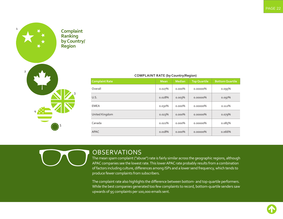<span id="page-21-0"></span>

| <b>COMPLAINT RATE (by Country/Region)</b> |             |               |                     |                        |  |  |  |
|-------------------------------------------|-------------|---------------|---------------------|------------------------|--|--|--|
| <b>Complaint Rate</b>                     | <b>Mean</b> | <b>Median</b> | <b>Top Quartile</b> | <b>Bottom Quartile</b> |  |  |  |
| Overall                                   | 0.027%      | $0.000\%$     | 0.00000%            | 0.095%                 |  |  |  |
| U.S.                                      | 0.028%      | 0.003%        | 0.00000%            | 0.097%                 |  |  |  |
| <b>EMEA</b>                               | 0.030%      | $0.000\%$     | $0.00000\%$         | 0.112%                 |  |  |  |
| United Kingdom                            | 0.023%      | $0.000\%$     | $0.00000\%$         | 0.079%                 |  |  |  |
| Canada                                    | 0.021%      | $0.000\%$     | 0.00000%            | 0.085%                 |  |  |  |
| <b>APAC</b>                               | 0.018%      | $0.000\%$     | 0.00000%            | 0.066%                 |  |  |  |

#### **OBSERVATIONS**

The mean spam complaint ("abuse") rate is fairly similar across the geographic regions, although APAC companies see the lowest rate. This lower APAC rate probably results from a combination of factors including culture, differences among ISPs and a lower send frequency, which tends to produce fewer complaints from subscribers.

The complaint rate also highlights the diference between bottom- and top-quartile performers. While the best companies generated too few complaints to record, bottom-quartile senders saw upwards of 95 complaints per 100,000 emails sent.

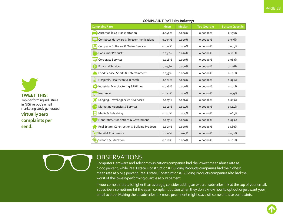| <b>Complaint Rate</b>                             | <b>Mean</b> | Median    | <b>Top Quartile</b> | <b>Bottom Quartile</b> |
|---------------------------------------------------|-------------|-----------|---------------------|------------------------|
| Automobiles & Transportation                      | 0.040%      | $0.000\%$ | 0.00000%            | 0.153%                 |
| <b>Computer Hardware &amp; Telecommunications</b> | 0.009%      | $0.000\%$ | $0.00000\%$         | 0.036%                 |
| Computer Software & Online Services               | 0.024%      | $0.000\%$ | $0.00000\%$         | 0.095%                 |
| <b>CIDI</b><br><b>Consumer Products</b>           | 0.038%      | 0.020%    | 0.00000%            | 0.111%                 |
| Corporate Services                                | 0.016%      | $0.000\%$ | 0.00000%            | 0.063%                 |
| <b>Financial Services</b>                         | 0.037%      | $0.000\%$ | 0.00000%            | 0.146%                 |
| Food Service, Sports & Entertainment              | 0.039%      | $0.000\%$ | 0.00000%            | 0.141%                 |
| Hospitals, Healthcare & Biotech                   | 0.024%      | $0.000\%$ | 0.00000%            | 0.091%                 |
| Industrial Manufacturing & Utilities              | 0.026%      | $0.000\%$ | 0.00000%            | 0.101%                 |
| Insurance                                         | 0.020%      | $0.000\%$ | $0.00000\%$         | 0.079%                 |
| Lodging, Travel Agencies & Services               | 0.025%      | 0.006%    | 0.00000%            | 0.083%                 |
| <b>Marketing Agencies &amp; Services</b>          | 0.041%      | 0.004%    | 0.00000%            | 0.144%                 |
| Media & Publishing                                | 0.019%      | 0.004%    | 0.00000%            | 0.065%                 |
| Nonprofits, Associations & Government             | 0.025%      | $0.000\%$ | 0.00000%            | 0.093%                 |
| Real Estate, Construction & Building Products     | 0.047%      | $0.000\%$ | $0.00000\%$         | 0.169%                 |
| Retail & Ecommerce                                | 0.025%      | 0.015%    | 0.00000%            | 0.072%                 |
| <b>Schools &amp; Education</b>                    | 0.028%      | $0.000\%$ | 0.00000%            | 0.101%                 |

#### **COMPLAINT RATE (by Industry)**

#### **OBSERVATIONS**

Computer Hardware and Telecommunications companies had the lowest mean abuse rate at o.oog percent, while Real Estate, Construction & Building Products companies had the highest mean rate at 0.047 percent. Real Estate, Construction & Building Products companies also had the worst of the lowest-performing quartile at 0.17 percent.

If your complaint rate is higher than average, consider adding an extra unsubscribe link at the top of your email. Subscribers sometimes hit the spam complaint button when they don't know how to opt out or just want your email to stop. Making the unsubscribe link more prominent might stave off some of these complaints.

<span id="page-22-0"></span>**TWEET THIS!** Top-performing industries in @Silverpop's email marketing study generated

**virtually zero complaints per send.**

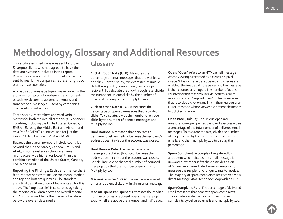### <span id="page-23-0"></span>**Methodology, Glossary and Additional Resources**

This study examined messages sent by those Silverpop clients who had agreed to have their data anonymously included in the report. Researchers combined data from all messages sent by nearly 750 companies representing 3,000 brands in 40 countries.

A broad set of message types was included in the study — from promotional emails and contentbased newsletters to automated emails and transactional messages — sent by companies in a variety of industries.

For this study, researchers analyzed various metrics for both the overall category (all 40 sender countries, including the United States, Canada, EMEA – Europe, the Middle East and Africa – and Asia Pacific [APAC] countries) and for just the United States, Canada, EMEA and APAC.

Because the overall numbers include countries beyond the United States, Canada, EMEA and APAC, in some instances the overall mean might actually be higher (or lower) than the combined median of the United States, Canada, EMEA and APAC.

**Reporting the Findings:** Each performance chart features statistics that include the mean, median, and top and bottom quartiles. The standard statistical definition of quartiles was used for this study. The "top quartile" is calculated by taking the median of all data above the overall median, and "bottom quartile" is the median of all data below the overall data median.

### **Glossary**

**Click-Through Rate (CTR):** Measures the percentage of email messages that drew at least one click. For this study, it is expressed as unique click-through rate, counting only one click per recipient. To calculate the click-through rate, divide the number of unique clicks by the number of delivered messages and multiply by 100.

**Click-to-Open Rate (CTOR):** Measures the percentage of opened messages that recorded clicks. To calculate, divide the number of unique clicks by the number of opened messages and multiply by 100.

**Hard Bounce**: A message that generates a permanent delivery failure because the recipient's address doesn't exist or the account was closed.

**Hard Bounce Rate:** The percentage of sent messages that failed (bounced) because the address doesn't exist or the account was closed. To calculate, divide the total number of bounced messages by the total number of emails sent. Multiply by 100.

**Median Clicks per Clicker:** The median number of times a recipient clicks any link in an email message.

**Median Opens Per Opener:** Expresses the median number of times a recipient opens the message; exactly half are above that number and half below.

**Open:** "Open" refers to an HTML email message whose viewing is recorded by a clear 1 X 1 pixel image. When a message is opened and images are enabled, the image calls the server and the message is then counted as an open. The number of opens counted for this research include both this direct reporting and an "implied open" on text messages that recorded a click on any link in the message or an HTML message whose viewer did not enable images but clicked on a link.

**Open Rate (Unique):** The unique open rate measures one open per recipient and is expressed as a percentage of the total number of delivered email messages. To calculate the rate, divide the number of unique opens by the total number of delivered emails, and then multiply by 100 to display the percentage.

**Spam Complaint:** A complaint registered by a recipient who indicates the email message is unwanted, whether it fits the classic definition of "spam" as an unsolicited email or simply any message the recipient no longer wants to receive. The majority of spam complaints are received via a direct message via a "feedback" loop with an ISP.

**Spam Complaint Rate:** The percentage of delivered email messages that generate spam complaints. To calculate, divide the total number of spam complaints by delivered emails and multiply by 100.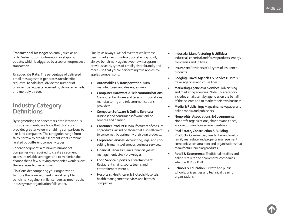<span id="page-24-0"></span>**Transactional Message:** An email, such as an order/subscription confirmation or shipping update, which is triggered by a customer/prospect transaction.

**Unsubscribe Rate:** The percentage of delivered email messages that generates unsubscribe requests. To calculate, divide the number of unsubscribe requests received by delivered emails and multiply by 100.

#### **Industry Category Definitions**

By segmenting the benchmark data into various industry segments, we hope that this report provides greater value in enabling comparisons to like-kind companies. The categories range from fairly narrow to broader segments that combine related but diferent company types.

For each segment, a minimum number of companies was required to create a segment to ensure reliable averages and to minimize the chance that a few outlying companies would skew the averages higher or lower.

**Tip:** Consider comparing your organization to more than one segment in an attempt to benchmark against similar senders as much as the industry your organization falls under.

Finally, as always, we believe that while these benchmarks can provide a good starting point, always benchmark against your own program – previous years, types of emails, sister brands, and more – so that you're performing true apples-toapples comparisons.

- • **Automobiles & Transportation:** Auto manufacturers and dealers; airlines.
- • **Computer Hardware & Telecommunications:** Computer hardware and telecommunications manufacturing and telecommunications providers.
- • **Computer Software & Online Services:** Business and consumer software; online services and gaming.
- • **Consumer Products:** Manufacturers of consumer products, including those that also sell direct to consumer, but primarily their own products.
- • **Corporate Services:** Accounting, legal and consulting firms; miscellaneous business services.
- **•** Financial Services: Banks, financial/asset management, stock brokerages.
- • **Food Service, Sports & Entertainment:** Restaurant chains, sports teams and entertainment venues.
- • **Hospitals, Healthcare & Biotech:** Hospitals, health management services and biotech companies.
- • **Industrial Manufacturing & Utilities:** Industrial, chemical and forest products; energy companies and utilities.
- • **Insurance:** Providers of all types of insurance products.
- • **Lodging, Travel Agencies & Services:** Hotels, travel agencies and cruise lines.
- • **Marketing Agencies & Services:** Advertising and marketing agencies. Note: This category includes emails sent by agencies on the behalf of their clients and to market their own business.
- • **Media & Publishing:** Magazine, newspaper and online media and publishers.
- • **Nonproits, Associations & Government:** Nonprofit organizations, charities and trusts, associations and government entities.
- **Real Estate, Construction & Building Products:** Commercial, residential and multifamily real estate and property management companies; construction; and organizations that manufacture building products.
- **Retail & Ecommerce:** Traditional retailers and online retailers and ecommerce companies, whether B2C or B2B.
- • **Schools & Education:** Private and public schools, universities and technical training organizations.